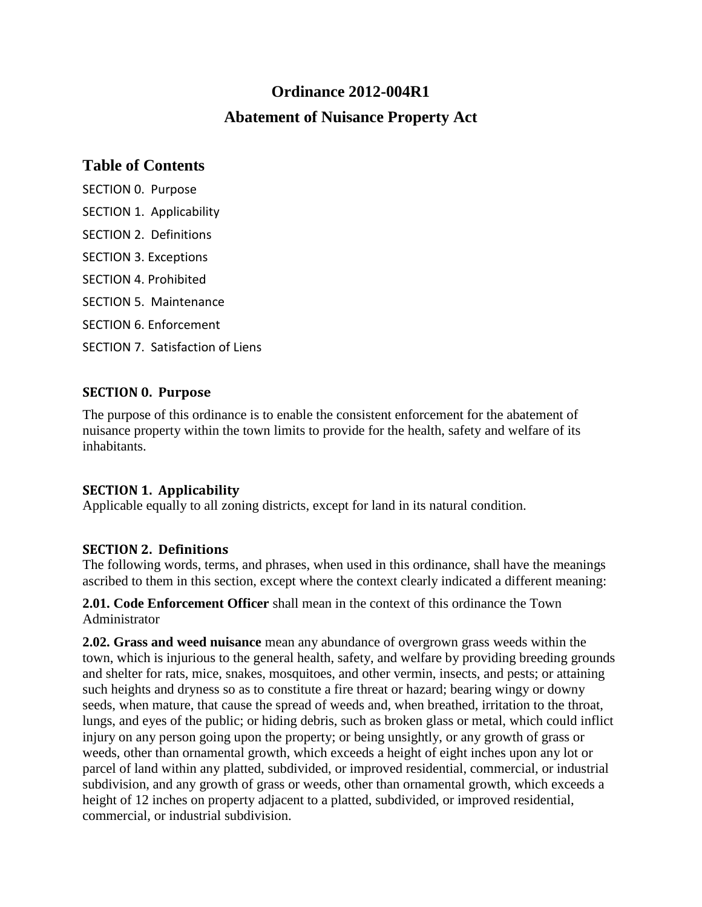# **Ordinance 2012-004R1 Abatement of Nuisance Property Act**

### **Table of Contents**

[SECTION 0. Purpose](#page-0-0) [SECTION 1. Applicability](#page-0-1) [SECTION 2. Definitions](#page-0-2) [SECTION 3. Exceptions](#page-1-0) [SECTION 4. Prohibited](#page-1-1) [SECTION 5. Maintenance](#page-1-2) [SECTION 6. Enforcement](#page-2-0) [SECTION 7. Satisfaction of Liens](#page-3-0)

#### <span id="page-0-0"></span>**SECTION 0. Purpose**

The purpose of this ordinance is to enable the consistent enforcement for the abatement of nuisance property within the town limits to provide for the health, safety and welfare of its inhabitants.

#### <span id="page-0-1"></span>**SECTION 1. Applicability**

Applicable equally to all zoning districts, except for land in its natural condition.

#### <span id="page-0-2"></span>**SECTION 2. Definitions**

The following words, terms, and phrases, when used in this ordinance, shall have the meanings ascribed to them in this section, except where the context clearly indicated a different meaning:

#### **2.01. Code Enforcement Officer** shall mean in the context of this ordinance the Town Administrator

**2.02. Grass and weed nuisance** mean any abundance of overgrown grass weeds within the town, which is injurious to the general health, safety, and welfare by providing breeding grounds and shelter for rats, mice, snakes, mosquitoes, and other vermin, insects, and pests; or attaining such heights and dryness so as to constitute a fire threat or hazard; bearing wingy or downy seeds, when mature, that cause the spread of weeds and, when breathed, irritation to the throat, lungs, and eyes of the public; or hiding debris, such as broken glass or metal, which could inflict injury on any person going upon the property; or being unsightly, or any growth of grass or weeds, other than ornamental growth, which exceeds a height of eight inches upon any lot or parcel of land within any platted, subdivided, or improved residential, commercial, or industrial subdivision, and any growth of grass or weeds, other than ornamental growth, which exceeds a height of 12 inches on property adjacent to a platted, subdivided, or improved residential, commercial, or industrial subdivision.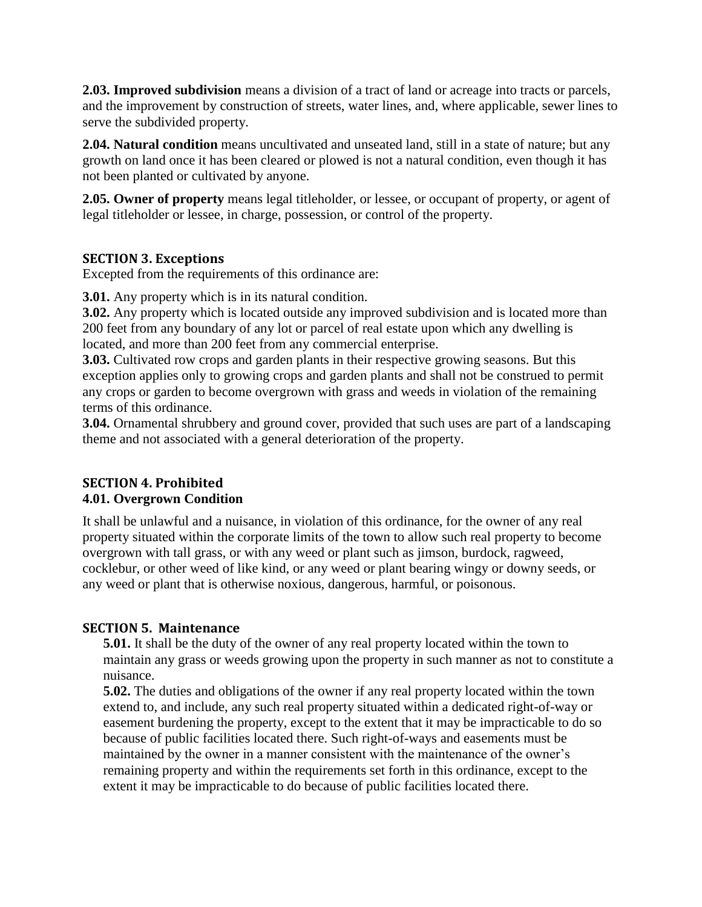**2.03. Improved subdivision** means a division of a tract of land or acreage into tracts or parcels, and the improvement by construction of streets, water lines, and, where applicable, sewer lines to serve the subdivided property.

**2.04. Natural condition** means uncultivated and unseated land, still in a state of nature; but any growth on land once it has been cleared or plowed is not a natural condition, even though it has not been planted or cultivated by anyone.

**2.05. Owner of property** means legal titleholder, or lessee, or occupant of property, or agent of legal titleholder or lessee, in charge, possession, or control of the property.

#### <span id="page-1-0"></span>**SECTION 3. Exceptions**

Excepted from the requirements of this ordinance are:

**3.01.** Any property which is in its natural condition.

**3.02.** Any property which is located outside any improved subdivision and is located more than 200 feet from any boundary of any lot or parcel of real estate upon which any dwelling is located, and more than 200 feet from any commercial enterprise.

**3.03.** Cultivated row crops and garden plants in their respective growing seasons. But this exception applies only to growing crops and garden plants and shall not be construed to permit any crops or garden to become overgrown with grass and weeds in violation of the remaining terms of this ordinance.

**3.04.** Ornamental shrubbery and ground cover, provided that such uses are part of a landscaping theme and not associated with a general deterioration of the property.

#### <span id="page-1-1"></span>**SECTION 4. Prohibited 4.01. Overgrown Condition**

It shall be unlawful and a nuisance, in violation of this ordinance, for the owner of any real property situated within the corporate limits of the town to allow such real property to become overgrown with tall grass, or with any weed or plant such as jimson, burdock, ragweed, cocklebur, or other weed of like kind, or any weed or plant bearing wingy or downy seeds, or any weed or plant that is otherwise noxious, dangerous, harmful, or poisonous.

#### <span id="page-1-2"></span>**SECTION 5. Maintenance**

**5.01.** It shall be the duty of the owner of any real property located within the town to maintain any grass or weeds growing upon the property in such manner as not to constitute a nuisance.

**5.02.** The duties and obligations of the owner if any real property located within the town extend to, and include, any such real property situated within a dedicated right-of-way or easement burdening the property, except to the extent that it may be impracticable to do so because of public facilities located there. Such right-of-ways and easements must be maintained by the owner in a manner consistent with the maintenance of the owner's remaining property and within the requirements set forth in this ordinance, except to the extent it may be impracticable to do because of public facilities located there.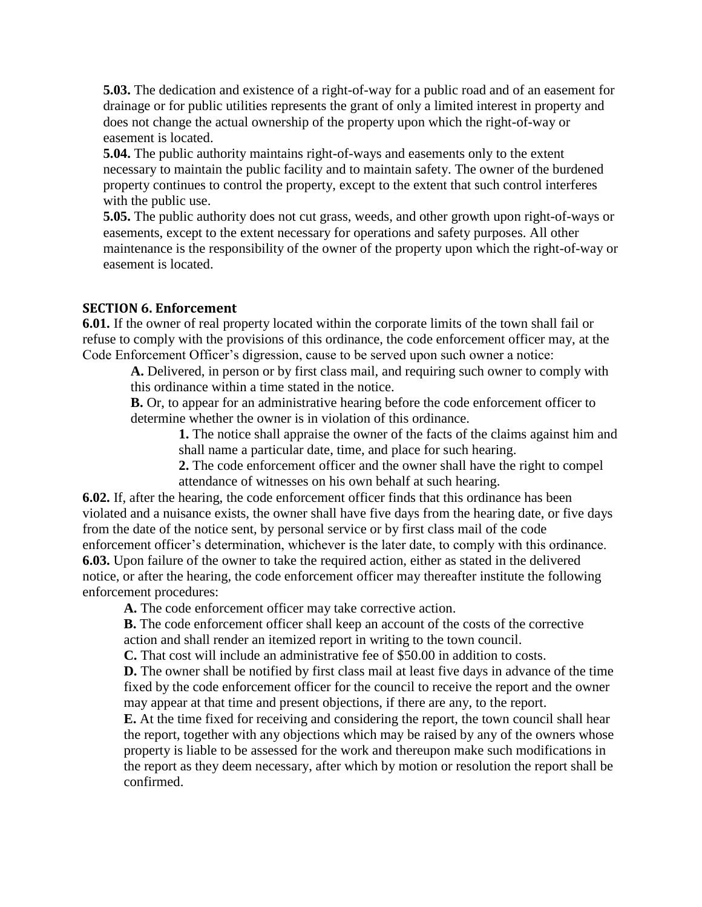**5.03.** The dedication and existence of a right-of-way for a public road and of an easement for drainage or for public utilities represents the grant of only a limited interest in property and does not change the actual ownership of the property upon which the right-of-way or easement is located.

**5.04.** The public authority maintains right-of-ways and easements only to the extent necessary to maintain the public facility and to maintain safety. The owner of the burdened property continues to control the property, except to the extent that such control interferes with the public use.

**5.05.** The public authority does not cut grass, weeds, and other growth upon right-of-ways or easements, except to the extent necessary for operations and safety purposes. All other maintenance is the responsibility of the owner of the property upon which the right-of-way or easement is located.

#### <span id="page-2-0"></span>**SECTION 6. Enforcement**

**6.01.** If the owner of real property located within the corporate limits of the town shall fail or refuse to comply with the provisions of this ordinance, the code enforcement officer may, at the Code Enforcement Officer's digression, cause to be served upon such owner a notice:

**A.** Delivered, in person or by first class mail, and requiring such owner to comply with this ordinance within a time stated in the notice.

**B.** Or, to appear for an administrative hearing before the code enforcement officer to determine whether the owner is in violation of this ordinance.

**1.** The notice shall appraise the owner of the facts of the claims against him and shall name a particular date, time, and place for such hearing.

**2.** The code enforcement officer and the owner shall have the right to compel attendance of witnesses on his own behalf at such hearing.

**6.02.** If, after the hearing, the code enforcement officer finds that this ordinance has been violated and a nuisance exists, the owner shall have five days from the hearing date, or five days from the date of the notice sent, by personal service or by first class mail of the code enforcement officer's determination, whichever is the later date, to comply with this ordinance. **6.03.** Upon failure of the owner to take the required action, either as stated in the delivered notice, or after the hearing, the code enforcement officer may thereafter institute the following enforcement procedures:

**A.** The code enforcement officer may take corrective action.

**B.** The code enforcement officer shall keep an account of the costs of the corrective action and shall render an itemized report in writing to the town council.

**C.** That cost will include an administrative fee of \$50.00 in addition to costs.

**D.** The owner shall be notified by first class mail at least five days in advance of the time fixed by the code enforcement officer for the council to receive the report and the owner may appear at that time and present objections, if there are any, to the report.

**E.** At the time fixed for receiving and considering the report, the town council shall hear the report, together with any objections which may be raised by any of the owners whose property is liable to be assessed for the work and thereupon make such modifications in the report as they deem necessary, after which by motion or resolution the report shall be confirmed.